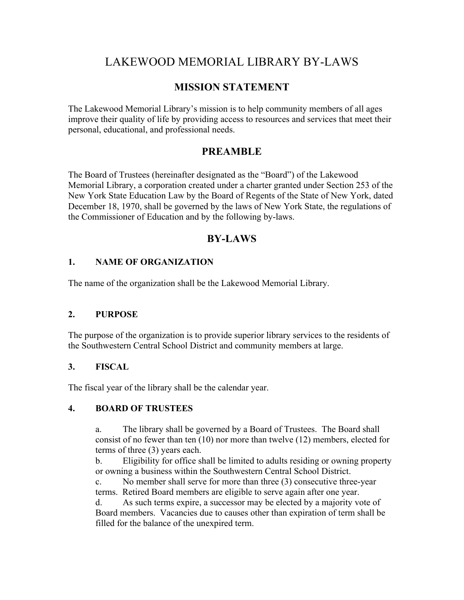# LAKEWOOD MEMORIAL LIBRARY BY-LAWS

## **MISSION STATEMENT**

The Lakewood Memorial Library's mission is to help community members of all ages improve their quality of life by providing access to resources and services that meet their personal, educational, and professional needs.

## **PREAMBLE**

The Board of Trustees (hereinafter designated as the "Board") of the Lakewood Memorial Library, a corporation created under a charter granted under Section 253 of the New York State Education Law by the Board of Regents of the State of New York, dated December 18, 1970, shall be governed by the laws of New York State, the regulations of the Commissioner of Education and by the following by-laws.

## **BY-LAWS**

## **1. NAME OF ORGANIZATION**

The name of the organization shall be the Lakewood Memorial Library.

### **2. PURPOSE**

The purpose of the organization is to provide superior library services to the residents of the Southwestern Central School District and community members at large.

### **3. FISCAL**

The fiscal year of the library shall be the calendar year.

### **4. BOARD OF TRUSTEES**

a. The library shall be governed by a Board of Trustees. The Board shall consist of no fewer than ten (10) nor more than twelve (12) members, elected for terms of three (3) years each.

b. Eligibility for office shall be limited to adults residing or owning property or owning a business within the Southwestern Central School District.

c. No member shall serve for more than three (3) consecutive three-year terms. Retired Board members are eligible to serve again after one year.

d. As such terms expire, a successor may be elected by a majority vote of Board members. Vacancies due to causes other than expiration of term shall be filled for the balance of the unexpired term.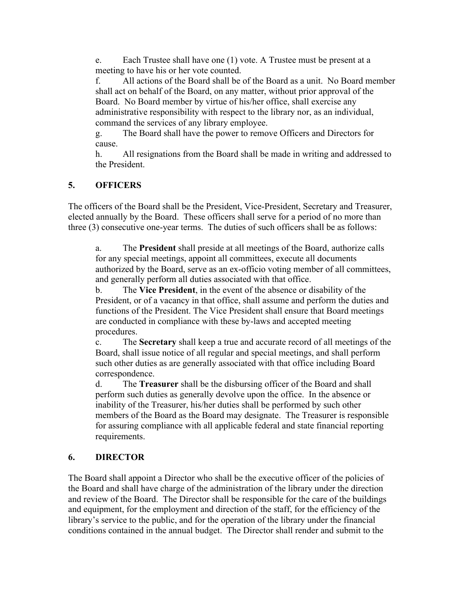e. Each Trustee shall have one (1) vote. A Trustee must be present at a meeting to have his or her vote counted.

f. All actions of the Board shall be of the Board as a unit. No Board member shall act on behalf of the Board, on any matter, without prior approval of the Board. No Board member by virtue of his/her office, shall exercise any administrative responsibility with respect to the library nor, as an individual, command the services of any library employee.

g. The Board shall have the power to remove Officers and Directors for cause.

h. All resignations from the Board shall be made in writing and addressed to the President.

## **5. OFFICERS**

The officers of the Board shall be the President, Vice-President, Secretary and Treasurer, elected annually by the Board. These officers shall serve for a period of no more than three (3) consecutive one-year terms. The duties of such officers shall be as follows:

a. The **President** shall preside at all meetings of the Board, authorize calls for any special meetings, appoint all committees, execute all documents authorized by the Board, serve as an ex-officio voting member of all committees, and generally perform all duties associated with that office.

b. The **Vice President**, in the event of the absence or disability of the President, or of a vacancy in that office, shall assume and perform the duties and functions of the President. The Vice President shall ensure that Board meetings are conducted in compliance with these by-laws and accepted meeting procedures.

c. The **Secretary** shall keep a true and accurate record of all meetings of the Board, shall issue notice of all regular and special meetings, and shall perform such other duties as are generally associated with that office including Board correspondence.

d. The **Treasurer** shall be the disbursing officer of the Board and shall perform such duties as generally devolve upon the office. In the absence or inability of the Treasurer, his/her duties shall be performed by such other members of the Board as the Board may designate. The Treasurer is responsible for assuring compliance with all applicable federal and state financial reporting requirements.

### **6. DIRECTOR**

The Board shall appoint a Director who shall be the executive officer of the policies of the Board and shall have charge of the administration of the library under the direction and review of the Board. The Director shall be responsible for the care of the buildings and equipment, for the employment and direction of the staff, for the efficiency of the library's service to the public, and for the operation of the library under the financial conditions contained in the annual budget. The Director shall render and submit to the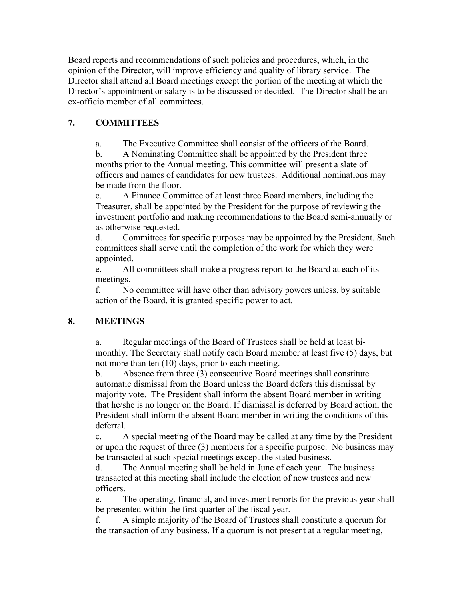Board reports and recommendations of such policies and procedures, which, in the opinion of the Director, will improve efficiency and quality of library service. The Director shall attend all Board meetings except the portion of the meeting at which the Director's appointment or salary is to be discussed or decided. The Director shall be an ex-officio member of all committees.

## **7. COMMITTEES**

a. The Executive Committee shall consist of the officers of the Board.

b. A Nominating Committee shall be appointed by the President three months prior to the Annual meeting. This committee will present a slate of officers and names of candidates for new trustees. Additional nominations may be made from the floor.

c. A Finance Committee of at least three Board members, including the Treasurer, shall be appointed by the President for the purpose of reviewing the investment portfolio and making recommendations to the Board semi-annually or as otherwise requested.

d. Committees for specific purposes may be appointed by the President. Such committees shall serve until the completion of the work for which they were appointed.

e. All committees shall make a progress report to the Board at each of its meetings.

f. No committee will have other than advisory powers unless, by suitable action of the Board, it is granted specific power to act.

## **8. MEETINGS**

a. Regular meetings of the Board of Trustees shall be held at least bimonthly. The Secretary shall notify each Board member at least five (5) days, but not more than ten (10) days, prior to each meeting.

b. Absence from three (3) consecutive Board meetings shall constitute automatic dismissal from the Board unless the Board defers this dismissal by majority vote. The President shall inform the absent Board member in writing that he/she is no longer on the Board. If dismissal is deferred by Board action, the President shall inform the absent Board member in writing the conditions of this deferral.

c. A special meeting of the Board may be called at any time by the President or upon the request of three (3) members for a specific purpose. No business may be transacted at such special meetings except the stated business.

d. The Annual meeting shall be held in June of each year. The business transacted at this meeting shall include the election of new trustees and new officers.

e. The operating, financial, and investment reports for the previous year shall be presented within the first quarter of the fiscal year.

f. A simple majority of the Board of Trustees shall constitute a quorum for the transaction of any business. If a quorum is not present at a regular meeting,